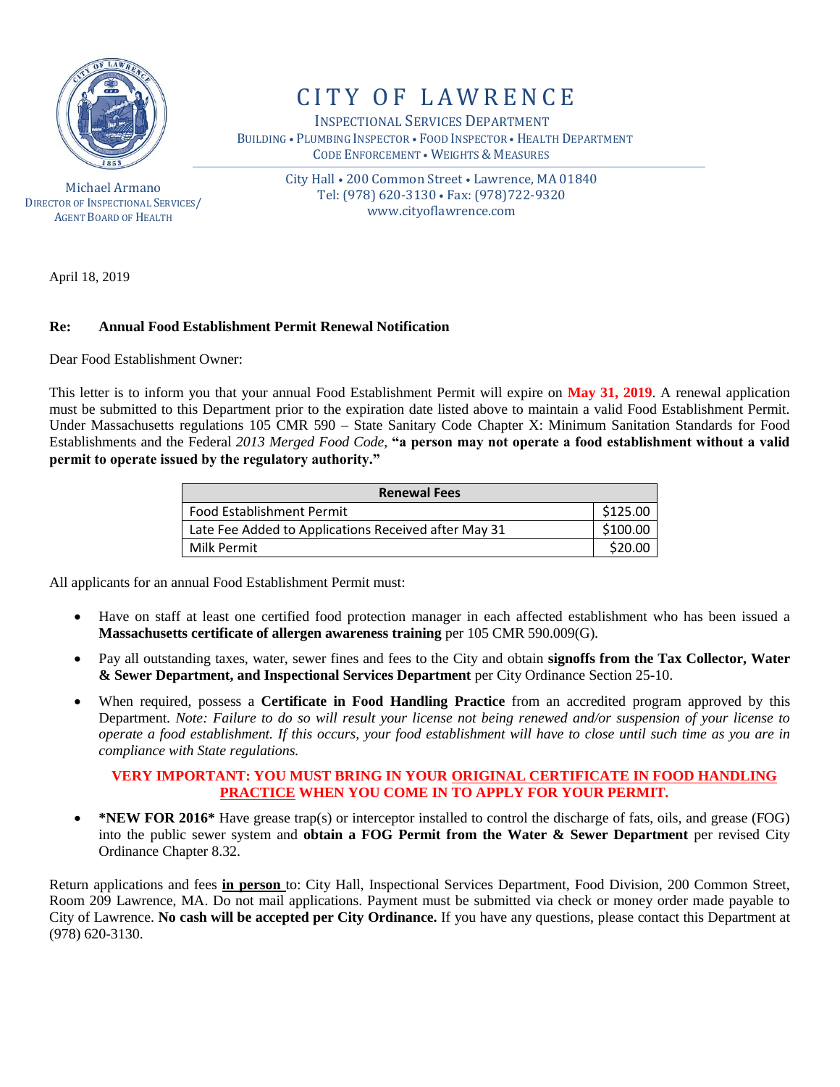

Michael Armano DIRECTOR OF INSPECTIONAL SERVICES/ AGENT BOARD OF HEALTH

# CITY OF LAWRENCE

 INSPECTIONAL SERVICES DEPARTMENT BUILDING • PLUMBING INSPECTOR • FOOD INSPECTOR • HEALTH DEPARTMENT CODE ENFORCEMENT • WEIGHTS & MEASURES

> City Hall • 200 Common Street • Lawrence, MA 01840 Tel: (978) 620-3130 • Fax: (978)722-9320 www.cityoflawrence.com

April 18, 2019

#### **Re: Annual Food Establishment Permit Renewal Notification**

Dear Food Establishment Owner:

This letter is to inform you that your annual Food Establishment Permit will expire on **May 31, 2019**. A renewal application must be submitted to this Department prior to the expiration date listed above to maintain a valid Food Establishment Permit. Under Massachusetts regulations 105 CMR 590 – State Sanitary Code Chapter X: Minimum Sanitation Standards for Food Establishments and the Federal *2013 Merged Food Code*, **"a person may not operate a food establishment without a valid permit to operate issued by the regulatory authority."**

| <b>Renewal Fees</b>                                  |          |  |
|------------------------------------------------------|----------|--|
| <b>Food Establishment Permit</b>                     | \$125.00 |  |
| Late Fee Added to Applications Received after May 31 | \$100.00 |  |
| Milk Permit                                          | \$20.00  |  |

All applicants for an annual Food Establishment Permit must:

- Have on staff at least one certified food protection manager in each affected establishment who has been issued a **Massachusetts certificate of allergen awareness training** per 105 CMR 590.009(G).
- Pay all outstanding taxes, water, sewer fines and fees to the City and obtain **signoffs from the Tax Collector, Water & Sewer Department, and Inspectional Services Department** per City Ordinance Section 25-10.
- When required, possess a **Certificate in Food Handling Practice** from an accredited program approved by this Department. *Note: Failure to do so will result your license not being renewed and/or suspension of your license to operate a food establishment. If this occurs, your food establishment will have to close until such time as you are in compliance with State regulations.*

#### **VERY IMPORTANT: YOU MUST BRING IN YOUR ORIGINAL CERTIFICATE IN FOOD HANDLING PRACTICE WHEN YOU COME IN TO APPLY FOR YOUR PERMIT.**

 **\*NEW FOR 2016\*** Have grease trap(s) or interceptor installed to control the discharge of fats, oils, and grease (FOG) into the public sewer system and **obtain a FOG Permit from the Water & Sewer Department** per revised City Ordinance Chapter 8.32.

Return applications and fees **in person** to: City Hall, Inspectional Services Department, Food Division, 200 Common Street, Room 209 Lawrence, MA. Do not mail applications. Payment must be submitted via check or money order made payable to City of Lawrence. **No cash will be accepted per City Ordinance.** If you have any questions, please contact this Department at (978) 620-3130.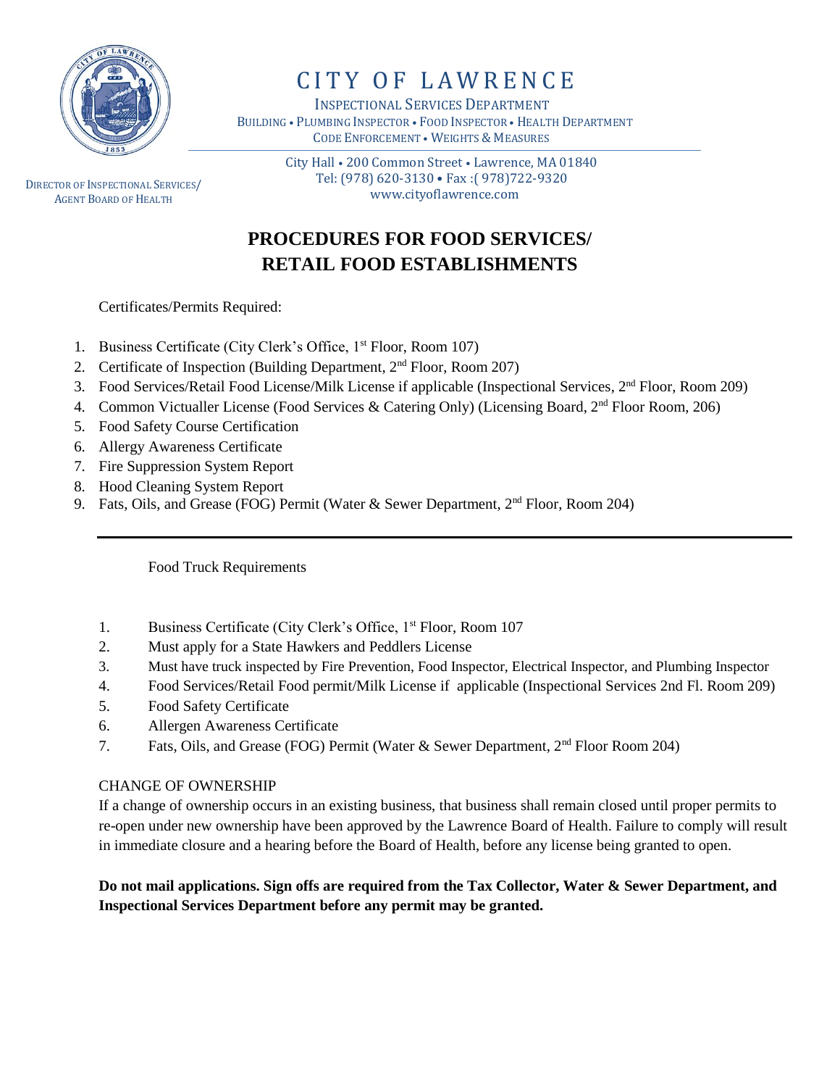

# CITY OF LAWRENCE

 INSPECTIONAL SERVICES DEPARTMENT BUILDING • PLUMBING INSPECTOR • FOOD INSPECTOR • HEALTH DEPARTMENT CODE ENFORCEMENT • WEIGHTS & MEASURES

DIRECTOR OF INSPECTIONAL SERVICES/ AGENT BOARD OF HEALTH

 City Hall • 200 Common Street • Lawrence, MA 01840 Tel: (978) 620-3130 • Fax :( 978)722-9320 www.cityoflawrence.com

## **PROCEDURES FOR FOOD SERVICES/ RETAIL FOOD ESTABLISHMENTS**

Certificates/Permits Required:

- 1. Business Certificate (City Clerk's Office, 1<sup>st</sup> Floor, Room 107)
- 2. Certificate of Inspection (Building Department, 2nd Floor, Room 207)
- 3. Food Services/Retail Food License/Milk License if applicable (Inspectional Services, 2nd Floor, Room 209)
- 4. Common Victualler License (Food Services & Catering Only) (Licensing Board, 2<sup>nd</sup> Floor Room, 206)
- 5. Food Safety Course Certification
- 6. Allergy Awareness Certificate
- 7. Fire Suppression System Report
- 8. Hood Cleaning System Report
- 9. Fats, Oils, and Grease (FOG) Permit (Water & Sewer Department, 2<sup>nd</sup> Floor, Room 204)

Food Truck Requirements

- 1. Business Certificate (City Clerk's Office, 1<sup>st</sup> Floor, Room 107
- 2. Must apply for a State Hawkers and Peddlers License
- 3. Must have truck inspected by Fire Prevention, Food Inspector, Electrical Inspector, and Plumbing Inspector
- 4. Food Services/Retail Food permit/Milk License if applicable (Inspectional Services 2nd Fl. Room 209)
- 5. Food Safety Certificate
- 6. Allergen Awareness Certificate
- 7. Fats, Oils, and Grease (FOG) Permit (Water & Sewer Department, 2nd Floor Room 204)

#### CHANGE OF OWNERSHIP

If a change of ownership occurs in an existing business, that business shall remain closed until proper permits to re-open under new ownership have been approved by the Lawrence Board of Health. Failure to comply will result in immediate closure and a hearing before the Board of Health, before any license being granted to open.

### **Do not mail applications. Sign offs are required from the Tax Collector, Water & Sewer Department, and Inspectional Services Department before any permit may be granted.**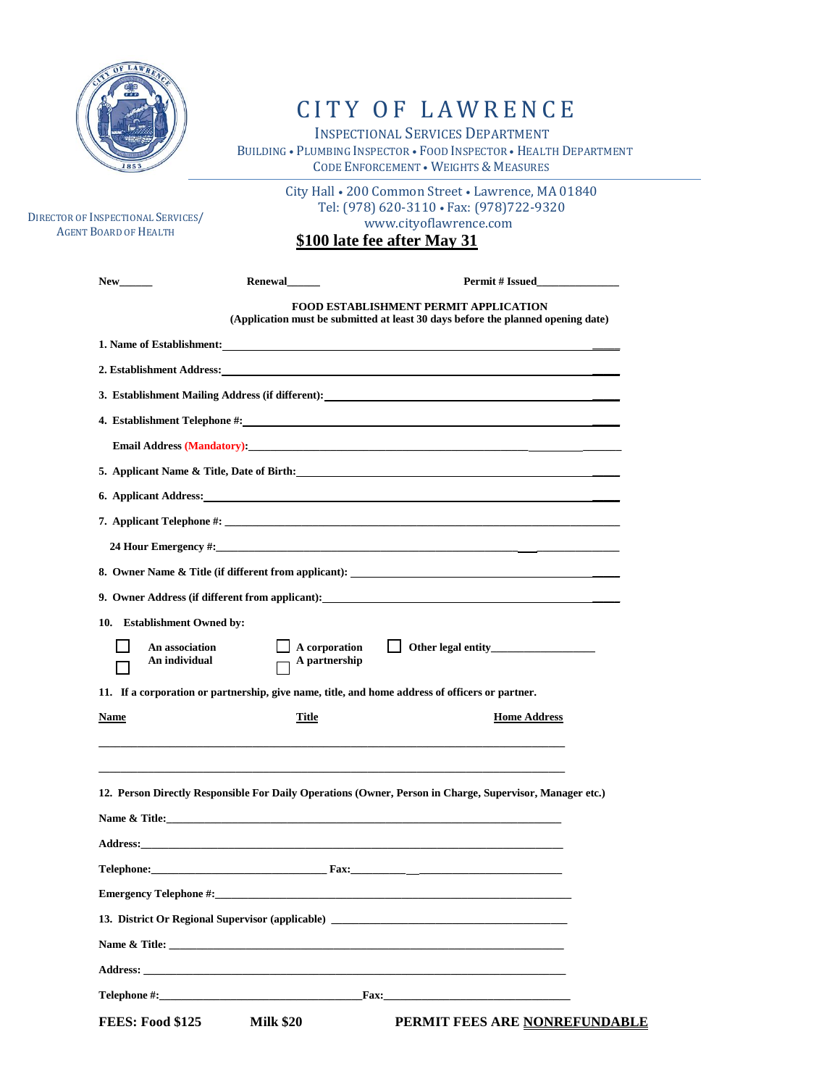

# CITY OF LAWRENCE

 INSPECTIONAL SERVICES DEPARTMENT BUILDING • PLUMBING INSPECTOR • FOOD INSPECTOR • HEALTH DEPARTMENT CODE ENFORCEMENT • WEIGHTS & MEASURES

City Hall • 200 Common Street • Lawrence, MA 01840

| DIRECTOR OF INSPECTIONAL SERVICES/<br><b>AGENT BOARD OF HEALTH</b> |                                       | Tel: (978) 620-3110 · Fax: (978) 722-9320<br>www.cityoflawrence.com<br>\$100 late fee after May 31                                                                                                                                    |
|--------------------------------------------------------------------|---------------------------------------|---------------------------------------------------------------------------------------------------------------------------------------------------------------------------------------------------------------------------------------|
| New                                                                | Renewal                               | <b>Permit # Issued</b>                                                                                                                                                                                                                |
|                                                                    |                                       | FOOD ESTABLISHMENT PERMIT APPLICATION<br>(Application must be submitted at least 30 days before the planned opening date)                                                                                                             |
|                                                                    |                                       | 1. Name of Establishment:<br><u>Letter</u> and the set of the set of the set of the set of the set of the set of the set of the set of the set of the set of the set of the set of the set of the set of the set of the set of the se |
|                                                                    |                                       | 2. Establishment Address: Universe and Security and Security and Security and Security and Security and Security and Security and Security and Security and Security and Security and Security and Security and Security and S        |
|                                                                    |                                       | 3. Establishment Mailing Address (if different): ________________________________                                                                                                                                                     |
|                                                                    |                                       |                                                                                                                                                                                                                                       |
|                                                                    |                                       |                                                                                                                                                                                                                                       |
|                                                                    |                                       |                                                                                                                                                                                                                                       |
|                                                                    |                                       | 6. Applicant Address: <u>Container and Community of Applicant Address:</u>                                                                                                                                                            |
|                                                                    |                                       |                                                                                                                                                                                                                                       |
|                                                                    |                                       | 24 Hour Emergency #:                                                                                                                                                                                                                  |
|                                                                    |                                       |                                                                                                                                                                                                                                       |
|                                                                    |                                       | 9. Owner Address (if different from applicant): 100 minutes and the control of the control of the control of the control of the control of the control of the control of the control of the control of the control of the cont        |
| 10. Establishment Owned by:                                        |                                       |                                                                                                                                                                                                                                       |
| An association<br>An individual                                    | $\Box$ A corporation<br>A partnership |                                                                                                                                                                                                                                       |
|                                                                    |                                       | 11. If a corporation or partnership, give name, title, and home address of officers or partner.                                                                                                                                       |
| Name                                                               | Title                                 | <b>Home Address</b>                                                                                                                                                                                                                   |
|                                                                    |                                       |                                                                                                                                                                                                                                       |
|                                                                    |                                       | 12. Person Directly Responsible For Daily Operations (Owner, Person in Charge, Supervisor, Manager etc.)                                                                                                                              |
| Name & Title:                                                      |                                       |                                                                                                                                                                                                                                       |
|                                                                    |                                       |                                                                                                                                                                                                                                       |
|                                                                    |                                       |                                                                                                                                                                                                                                       |
|                                                                    |                                       | <b>Emergency Telephone #:</b> Note that the set of the set of the set of the set of the set of the set of the set of the set of the set of the set of the set of the set of the set of the set of the set of the set of the set of    |
|                                                                    |                                       | 13. District Or Regional Supervisor (applicable) ________________________________                                                                                                                                                     |
|                                                                    |                                       | Name & Title:                                                                                                                                                                                                                         |
|                                                                    |                                       |                                                                                                                                                                                                                                       |
|                                                                    |                                       |                                                                                                                                                                                                                                       |
| <b>FEES: Food \$125</b>                                            | <b>Milk \$20</b>                      | PERMIT FEES ARE NONREFUNDABLE                                                                                                                                                                                                         |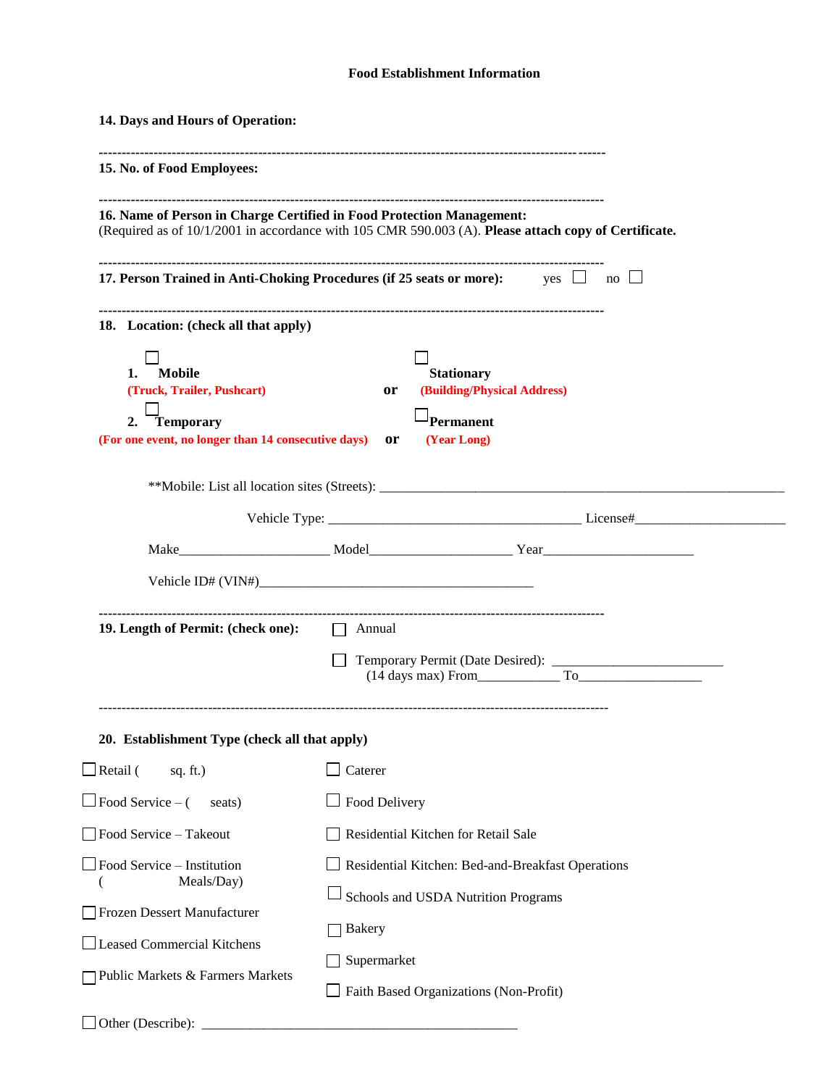#### **Food Establishment Information**

| 14. Days and Hours of Operation:                                                                                            |                                                                                                                     |  |  |
|-----------------------------------------------------------------------------------------------------------------------------|---------------------------------------------------------------------------------------------------------------------|--|--|
| 15. No. of Food Employees:                                                                                                  |                                                                                                                     |  |  |
| 16. Name of Person in Charge Certified in Food Protection Management:                                                       | (Required as of 10/1/2001 in accordance with 105 CMR 590.003 (A). Please attach copy of Certificate.                |  |  |
|                                                                                                                             | 17. Person Trained in Anti-Choking Procedures (if 25 seats or more): yes $\Box$ no $\Box$                           |  |  |
| 18. Location: (check all that apply)                                                                                        |                                                                                                                     |  |  |
| <b>Mobile</b><br>1.<br>(Truck, Trailer, Pushcart)<br>Temporary<br>2.<br>(For one event, no longer than 14 consecutive days) | <b>Stationary</b><br>(Building/Physical Address)<br><b>or</b><br><sup>]</sup> Permanent<br>(Year Long)<br><b>or</b> |  |  |
|                                                                                                                             | **Mobile: List all location sites (Streets): ___________________________________                                    |  |  |
|                                                                                                                             |                                                                                                                     |  |  |
|                                                                                                                             |                                                                                                                     |  |  |
|                                                                                                                             |                                                                                                                     |  |  |
| 19. Length of Permit: (check one):<br>$\Box$ Annual                                                                         |                                                                                                                     |  |  |
|                                                                                                                             | $(14 \text{ days max})$ From $\qquad \qquad$ To                                                                     |  |  |
| 20. Establishment Type (check all that apply)                                                                               |                                                                                                                     |  |  |
| $\Box$ Retail (<br>sq. $ft.$ )                                                                                              | $\Box$ Caterer                                                                                                      |  |  |
| $\Box$ Food Service – (<br>seats)                                                                                           | $\Box$ Food Delivery                                                                                                |  |  |
| Food Service - Takeout                                                                                                      | Residential Kitchen for Retail Sale                                                                                 |  |  |
| Food Service - Institution<br>Meals/Day)<br>Frozen Dessert Manufacturer                                                     | Residential Kitchen: Bed-and-Breakfast Operations<br>Schools and USDA Nutrition Programs<br><b>∃Bakery</b>          |  |  |
| Leased Commercial Kitchens<br>Public Markets & Farmers Markets<br>Other (Describe):                                         | Supermarket<br>Faith Based Organizations (Non-Profit)                                                               |  |  |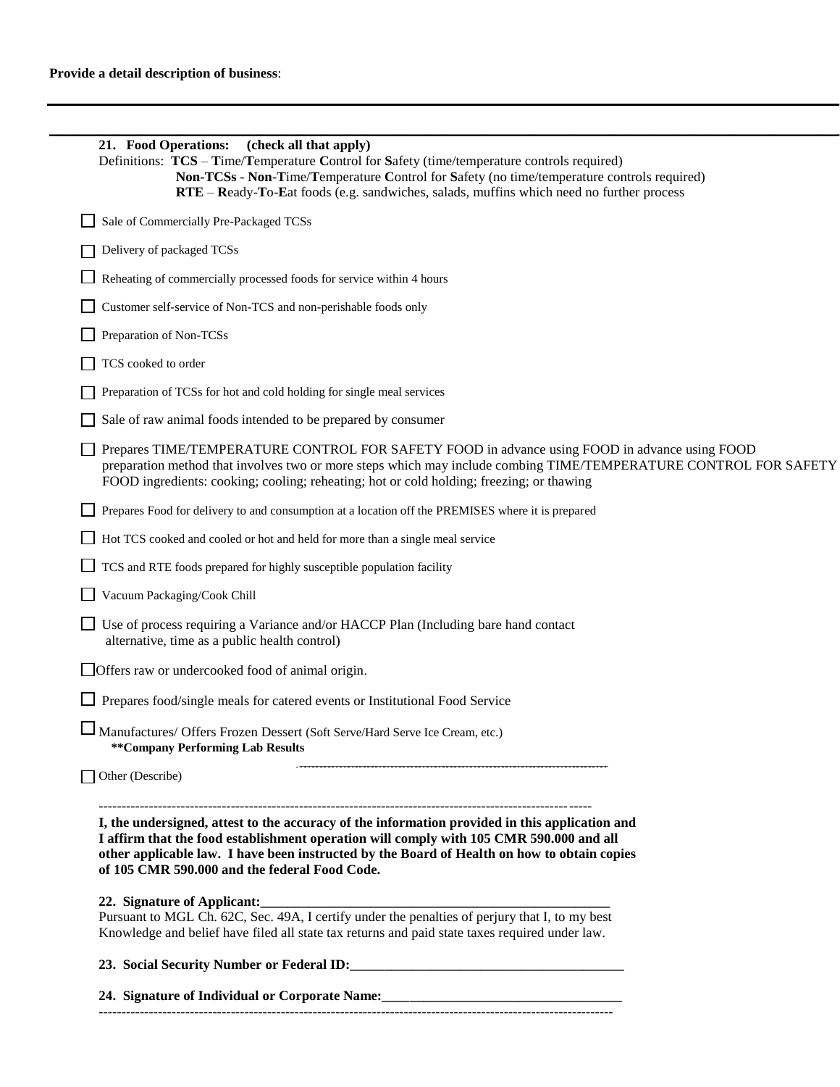| 21. Food Operations:<br>(check all that apply)<br>Definitions: TCS – Time/Temperature Control for Safety (time/temperature controls required)                                                                                                                                                                                             |
|-------------------------------------------------------------------------------------------------------------------------------------------------------------------------------------------------------------------------------------------------------------------------------------------------------------------------------------------|
| Non-TCSs - Non-Time/Temperature Control for Safety (no time/temperature controls required)<br>RTE - Ready-To-Eat foods (e.g. sandwiches, salads, muffins which need no further process                                                                                                                                                    |
| Sale of Commercially Pre-Packaged TCSs                                                                                                                                                                                                                                                                                                    |
| Delivery of packaged TCSs                                                                                                                                                                                                                                                                                                                 |
| Reheating of commercially processed foods for service within 4 hours                                                                                                                                                                                                                                                                      |
| Customer self-service of Non-TCS and non-perishable foods only                                                                                                                                                                                                                                                                            |
| Preparation of Non-TCSs                                                                                                                                                                                                                                                                                                                   |
| TCS cooked to order                                                                                                                                                                                                                                                                                                                       |
| Preparation of TCSs for hot and cold holding for single meal services                                                                                                                                                                                                                                                                     |
| Sale of raw animal foods intended to be prepared by consumer                                                                                                                                                                                                                                                                              |
| Prepares TIME/TEMPERATURE CONTROL FOR SAFETY FOOD in advance using FOOD in advance using FOOD<br>preparation method that involves two or more steps which may include combing TIME/TEMPERATURE CONTROL FOR SAFETY<br>FOOD ingredients: cooking; cooling; reheating; hot or cold holding; freezing; or thawing                             |
| Prepares Food for delivery to and consumption at a location off the PREMISES where it is prepared                                                                                                                                                                                                                                         |
| Hot TCS cooked and cooled or hot and held for more than a single meal service                                                                                                                                                                                                                                                             |
| TCS and RTE foods prepared for highly susceptible population facility                                                                                                                                                                                                                                                                     |
| Vacuum Packaging/Cook Chill                                                                                                                                                                                                                                                                                                               |
| Use of process requiring a Variance and/or HACCP Plan (Including bare hand contact<br>alternative, time as a public health control)                                                                                                                                                                                                       |
| Offers raw or undercooked food of animal origin.                                                                                                                                                                                                                                                                                          |
| Prepares food/single meals for catered events or Institutional Food Service                                                                                                                                                                                                                                                               |
| $\Box$ Manufactures/ Offers Frozen Dessert (Soft Serve/Hard Serve Ice Cream, etc.)<br>** Company Performing Lab Results                                                                                                                                                                                                                   |
| Other (Describe)                                                                                                                                                                                                                                                                                                                          |
| I, the undersigned, attest to the accuracy of the information provided in this application and<br>I affirm that the food establishment operation will comply with 105 CMR 590.000 and all<br>other applicable law. I have been instructed by the Board of Health on how to obtain copies<br>of 105 CMR 590.000 and the federal Food Code. |
| 22. Signature of Applicant:                                                                                                                                                                                                                                                                                                               |
| Pursuant to MGL Ch. 62C, Sec. 49A, I certify under the penalties of perjury that I, to my best<br>Knowledge and belief have filed all state tax returns and paid state taxes required under law.                                                                                                                                          |
|                                                                                                                                                                                                                                                                                                                                           |
| 24. Signature of Individual or Corporate Name: _________________________________                                                                                                                                                                                                                                                          |
|                                                                                                                                                                                                                                                                                                                                           |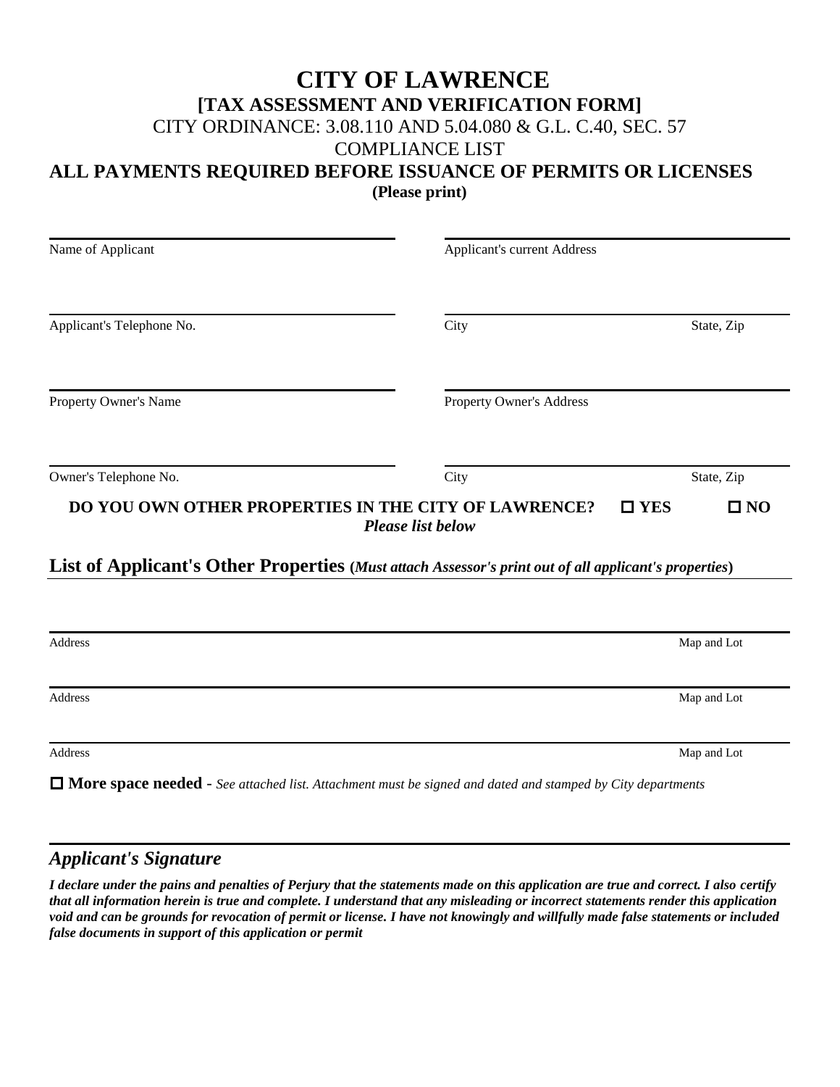## **CITY OF LAWRENCE**

### **[TAX ASSESSMENT AND VERIFICATION FORM]**

CITY ORDINANCE: 3.08.110 AND 5.04.080 & G.L. C.40, SEC. 57

COMPLIANCE LIST

### **ALL PAYMENTS REQUIRED BEFORE ISSUANCE OF PERMITS OR LICENSES**

**(Please print)**

| Name of Applicant         | <b>Applicant's current Address</b>                                                                    |                               |
|---------------------------|-------------------------------------------------------------------------------------------------------|-------------------------------|
| Applicant's Telephone No. | City                                                                                                  | State, Zip                    |
| Property Owner's Name     | Property Owner's Address                                                                              |                               |
| Owner's Telephone No.     | City                                                                                                  | State, Zip                    |
|                           | DO YOU OWN OTHER PROPERTIES IN THE CITY OF LAWRENCE?<br><b>Please list below</b>                      | $\square$ YES<br>$\square$ NO |
|                           | List of Applicant's Other Properties (Must attach Assessor's print out of all applicant's properties) |                               |
|                           |                                                                                                       |                               |
| Address                   |                                                                                                       | Map and Lot                   |
| Address                   |                                                                                                       | Map and Lot                   |
| Address                   |                                                                                                       | Map and Lot                   |

**More space needed** - *See attached list. Attachment must be signed and dated and stamped by City departments*

### *Applicant's Signature*

*I declare under the pains and penalties of Perjury that the statements made on this application are true and correct. I also certify that all information herein is true and complete. I understand that any misleading or incorrect statements render this application void and can be grounds for revocation of permit or license. I have not knowingly and willfully made false statements or included false documents in support of this application or permit*